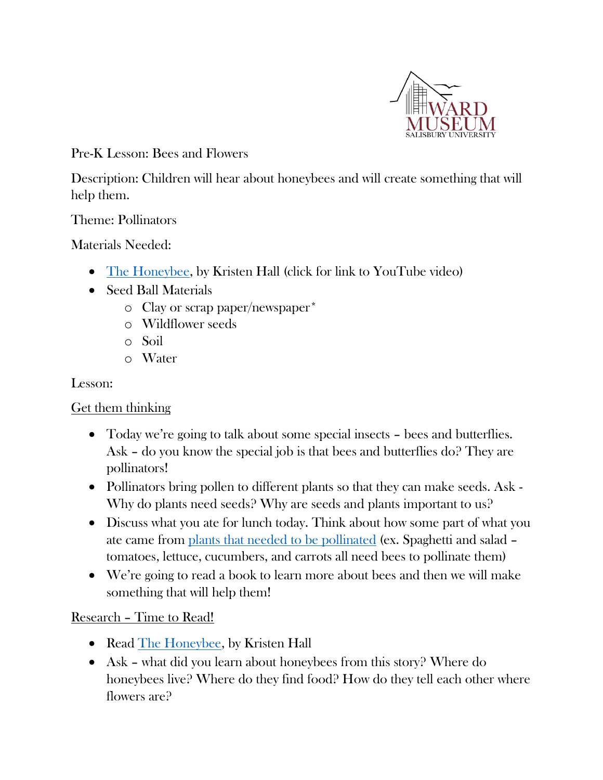

Pre-K Lesson: Bees and Flowers

Description: Children will hear about honeybees and will create something that will help them.

#### Theme: Pollinators

Materials Needed:

- [The Honeybee,](https://www.youtube.com/watch?v=8XWAyeRrRcY) by Kristen Hall (click for link to YouTube video)
- Seed Ball Materials
	- o Clay or scrap paper/newspaper\*
	- o Wildflower seeds
	- o Soil
	- o Water

Lesson:

Get them thinking

- Today we're going to talk about some special insects bees and butterflies. Ask – do you know the special job is that bees and butterflies do? They are pollinators!
- Pollinators bring pollen to different plants so that they can make seeds. Ask Why do plants need seeds? Why are seeds and plants important to us?
- Discuss what you ate for lunch today. Think about how some part of what you ate came from [plants that needed to be pollinated](https://en.wikipedia.org/wiki/List_of_crop_plants_pollinated_by_bees) (ex. Spaghetti and salad – tomatoes, lettuce, cucumbers, and carrots all need bees to pollinate them)
- We're going to read a book to learn more about bees and then we will make something that will help them!

Research – Time to Read!

- Read [The Honeybee,](https://www.youtube.com/watch?v=8XWAyeRrRcY) by Kristen Hall
- Ask what did you learn about honeybees from this story? Where do honeybees live? Where do they find food? How do they tell each other where flowers are?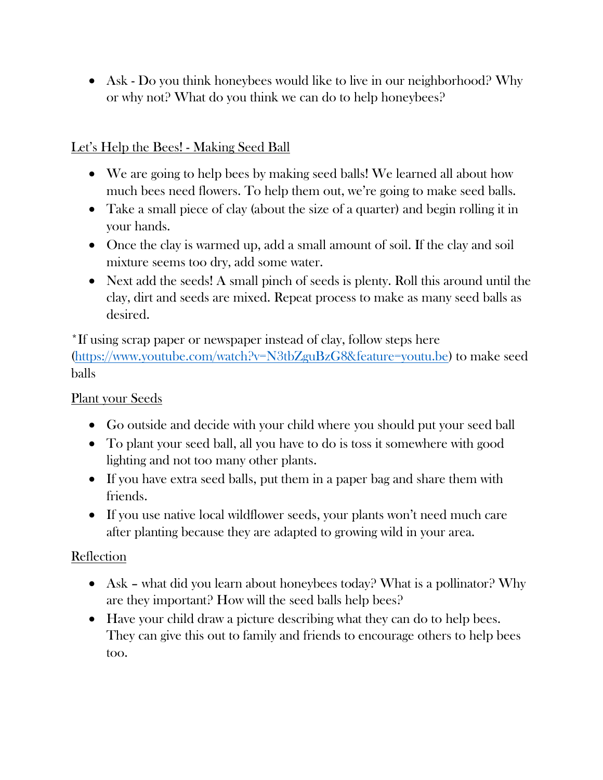• Ask - Do you think honeybees would like to live in our neighborhood? Why or why not? What do you think we can do to help honeybees?

## Let's Help the Bees! - Making Seed Ball

- We are going to help bees by making seed balls! We learned all about how much bees need flowers. To help them out, we're going to make seed balls.
- Take a small piece of clay (about the size of a quarter) and begin rolling it in your hands.
- Once the clay is warmed up, add a small amount of soil. If the clay and soil mixture seems too dry, add some water.
- Next add the seeds! A small pinch of seeds is plenty. Roll this around until the clay, dirt and seeds are mixed. Repeat process to make as many seed balls as desired.

\*If using scrap paper or newspaper instead of clay, follow steps here [\(https://www.youtube.com/watch?v=N3tbZguBzG8&feature=youtu.be\)](https://www.youtube.com/watch?v=N3tbZguBzG8&feature=youtu.be) to make seed balls

### Plant your Seeds

- Go outside and decide with your child where you should put your seed ball
- To plant your seed ball, all you have to do is toss it somewhere with good lighting and not too many other plants.
- If you have extra seed balls, put them in a paper bag and share them with friends.
- If you use native local wildflower seeds, your plants won't need much care after planting because they are adapted to growing wild in your area.

# Reflection

- Ask what did you learn about honeybees today? What is a pollinator? Why are they important? How will the seed balls help bees?
- Have your child draw a picture describing what they can do to help bees. They can give this out to family and friends to encourage others to help bees too.